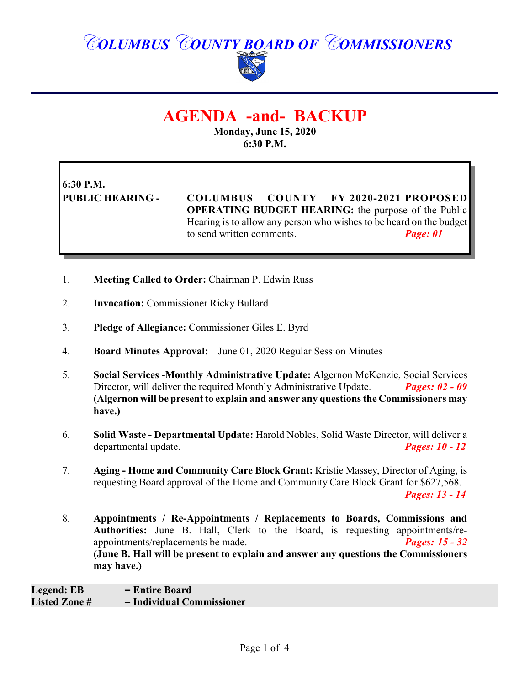# *COLUMBUS COUNTY BOARD OF COMMISSIONERS*



# **AGENDA -and- BACKUP**

**Monday, June 15, 2020 6:30 P.M.**

**6:30 P.M.**

**PUBLIC HEARING - COLUMBUS COUNTY FY 2020-2021 PROPOSED OPERATING BUDGET HEARING:** the purpose of the Public Hearing is to allow any person who wishes to be heard on the budget to send written comments. *Page: 01*

- 1. **Meeting Called to Order:** Chairman P. Edwin Russ
- 2. **Invocation:** Commissioner Ricky Bullard
- 3. **Pledge of Allegiance:** Commissioner Giles E. Byrd
- 4. **Board Minutes Approval:** June 01, 2020 Regular Session Minutes
- 5. **Social Services -Monthly Administrative Update:** Algernon McKenzie, Social Services<br>Director, will deliver the required Monthly Administrative Update. *Pages:* 02 09 Director, will deliver the required Monthly Administrative Update. **(Algernon will be present to explain and answer any questions the Commissioners may have.)**
- 6. **Solid Waste - Departmental Update:** Harold Nobles, Solid Waste Director, will deliver a departmental update. *Pages: 10 - 12*
- 7. **Aging - Home and Community Care Block Grant:** Kristie Massey, Director of Aging, is requesting Board approval of the Home and Community Care Block Grant for \$627,568. *Pages: 13 - 14*
- 8. **Appointments / Re-Appointments / Replacements to Boards, Commissions and Authorities:** June B. Hall, Clerk to the Board, is requesting appointments/reappointments/replacements be made. *Pages: 15 - 32*  **(June B. Hall will be present to explain and answer any questions the Commissioners may have.)**

**Legend: EB = Entire Board Listed Zone # = Individual Commissioner**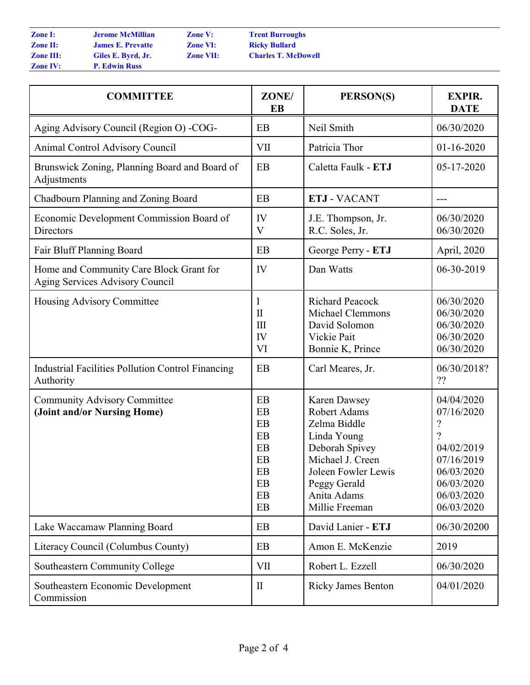| <b>Zone I:</b>   | <b>Jerome McMill</b>  |
|------------------|-----------------------|
| <b>Zone II:</b>  | <b>James E. Preva</b> |
| <b>Zone III:</b> | Giles E. Byrd,        |
| <b>Zone IV:</b>  | <b>P. Edwin Russ</b>  |

**IIIian Zone V:** *Cone V:* **<b>Prent Burroughs**<br> **Zone VI: Ricky Bullard Zone II: James E. Prevatte Zone VI: Ricky Bullard Zone VII: Charles T. McDowell** 

| <b>COMMITTEE</b>                                                           | ZONE/<br><b>EB</b>                                           | PERSON(S)                                                                                                                                                                 | <b>EXPIR.</b><br><b>DATE</b>                                                                                                                  |
|----------------------------------------------------------------------------|--------------------------------------------------------------|---------------------------------------------------------------------------------------------------------------------------------------------------------------------------|-----------------------------------------------------------------------------------------------------------------------------------------------|
| Aging Advisory Council (Region O) - COG-                                   | EB                                                           | Neil Smith                                                                                                                                                                | 06/30/2020                                                                                                                                    |
| Animal Control Advisory Council                                            | <b>VII</b>                                                   | Patricia Thor                                                                                                                                                             | $01-16-2020$                                                                                                                                  |
| Brunswick Zoning, Planning Board and Board of<br>Adjustments               | EB                                                           | Caletta Faulk - ETJ                                                                                                                                                       | 05-17-2020                                                                                                                                    |
| Chadbourn Planning and Zoning Board                                        | EB                                                           | <b>ETJ - VACANT</b>                                                                                                                                                       | ---                                                                                                                                           |
| Economic Development Commission Board of<br>Directors                      | IV<br>V                                                      | J.E. Thompson, Jr.<br>R.C. Soles, Jr.                                                                                                                                     | 06/30/2020<br>06/30/2020                                                                                                                      |
| Fair Bluff Planning Board                                                  | EB                                                           | George Perry - ETJ                                                                                                                                                        | April, 2020                                                                                                                                   |
| Home and Community Care Block Grant for<br>Aging Services Advisory Council | IV                                                           | Dan Watts                                                                                                                                                                 | 06-30-2019                                                                                                                                    |
| Housing Advisory Committee                                                 | I<br>$\mathbf{I}$<br>$\mathop{\rm III}\nolimits$<br>IV<br>VI | <b>Richard Peacock</b><br>Michael Clemmons<br>David Solomon<br>Vickie Pait<br>Bonnie K, Prince                                                                            | 06/30/2020<br>06/30/2020<br>06/30/2020<br>06/30/2020<br>06/30/2020                                                                            |
| Industrial Facilities Pollution Control Financing<br>Authority             | EB                                                           | Carl Meares, Jr.                                                                                                                                                          | 06/30/2018?<br>??                                                                                                                             |
| <b>Community Advisory Committee</b><br>(Joint and/or Nursing Home)         | EB<br>EB<br>EB<br>EB<br>EB<br>EB<br>EB<br>EB<br>EB<br>EB     | Karen Dawsey<br>Robert Adams<br>Zelma Biddle<br>Linda Young<br>Deborah Spivey<br>Michael J. Creen<br>Joleen Fowler Lewis<br>Peggy Gerald<br>Anita Adams<br>Millie Freeman | 04/04/2020<br>07/16/2020<br>$\overline{\mathcal{L}}$<br>9<br>04/02/2019<br>07/16/2019<br>06/03/2020<br>06/03/2020<br>06/03/2020<br>06/03/2020 |
| Lake Waccamaw Planning Board                                               | EB                                                           | David Lanier - ETJ                                                                                                                                                        | 06/30/20200                                                                                                                                   |
| Literacy Council (Columbus County)                                         | EB                                                           | Amon E. McKenzie                                                                                                                                                          | 2019                                                                                                                                          |
| Southeastern Community College                                             | VII                                                          | Robert L. Ezzell                                                                                                                                                          | 06/30/2020                                                                                                                                    |
| Southeastern Economic Development<br>Commission                            | $\mathbf{I}$                                                 | <b>Ricky James Benton</b>                                                                                                                                                 | 04/01/2020                                                                                                                                    |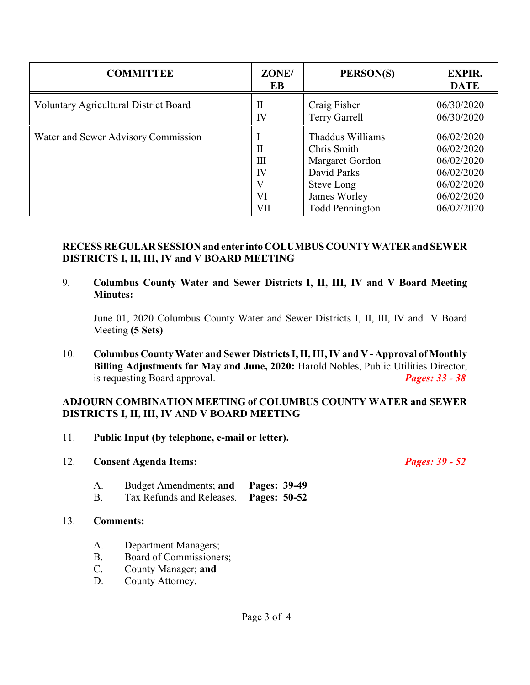| <b>COMMITTEE</b>                             | ZONE/<br>EB                          | PERSON(S)                                                                                                                 | <b>EXPIR.</b><br><b>DATE</b>                                                                   |
|----------------------------------------------|--------------------------------------|---------------------------------------------------------------------------------------------------------------------------|------------------------------------------------------------------------------------------------|
| <b>Voluntary Agricultural District Board</b> | $\rm II$<br>IV                       | Craig Fisher<br><b>Terry Garrell</b>                                                                                      | 06/30/2020<br>06/30/2020                                                                       |
| Water and Sewer Advisory Commission          | $\mathbf{I}$<br>Ш<br>IV<br>VI<br>VII | Thaddus Williams<br>Chris Smith<br>Margaret Gordon<br>David Parks<br>Steve Long<br>James Worley<br><b>Todd Pennington</b> | 06/02/2020<br>06/02/2020<br>06/02/2020<br>06/02/2020<br>06/02/2020<br>06/02/2020<br>06/02/2020 |

## **RECESS REGULAR SESSION and enter into COLUMBUSCOUNTYWATERand SEWER DISTRICTS I, II, III, IV and V BOARD MEETING**

9. **Columbus County Water and Sewer Districts I, II, III, IV and V Board Meeting Minutes:**

June 01, 2020 Columbus County Water and Sewer Districts I, II, III, IV and V Board Meeting **(5 Sets)**

10. **Columbus County Water and Sewer Districts I, II, III, IV and V - Approval of Monthly Billing Adjustments for May and June, 2020:** Harold Nobles, Public Utilities Director, is requesting Board approval. *Pages: 33 - 38*

### **ADJOURN COMBINATION MEETING of COLUMBUS COUNTY WATER and SEWER DISTRICTS I, II, III, IV AND V BOARD MEETING**

- 11. **Public Input (by telephone, e-mail or letter).**
- 12. **Consent Agenda Items:** *Pages: 39 52*

A. Budget Amendments; **and Pages: 39-49** B. Tax Refunds and Releases. **Pages: 50-52**

### 13. **Comments:**

- A. Department Managers;
- B. Board of Commissioners;
- C. County Manager; **and**
- D. County Attorney.